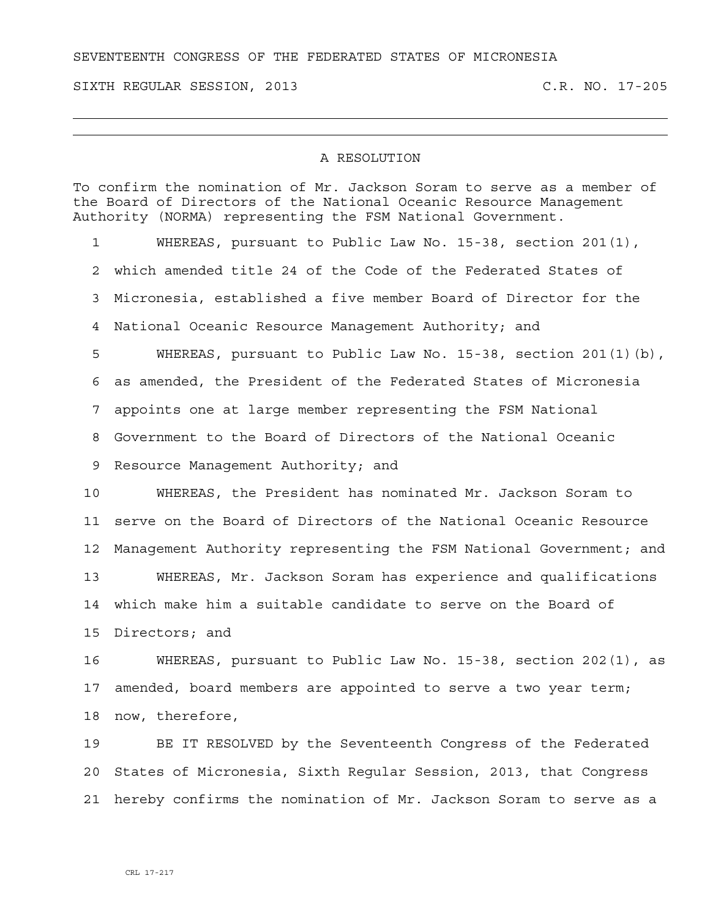## SEVENTEENTH CONGRESS OF THE FEDERATED STATES OF MICRONESIA

SIXTH REGULAR SESSION, 2013 C.R. NO. 17-205

## A RESOLUTION

To confirm the nomination of Mr. Jackson Soram to serve as a member of the Board of Directors of the National Oceanic Resource Management Authority (NORMA) representing the FSM National Government.

1 WHEREAS, pursuant to Public Law No. 15-38, section 201(1), 2 which amended title 24 of the Code of the Federated States of 3 Micronesia, established a five member Board of Director for the 4 National Oceanic Resource Management Authority; and 5 WHEREAS, pursuant to Public Law No. 15-38, section 201(1)(b), 6 as amended, the President of the Federated States of Micronesia 7 appoints one at large member representing the FSM National 8 Government to the Board of Directors of the National Oceanic 9 Resource Management Authority; and 10 WHEREAS, the President has nominated Mr. Jackson Soram to 11 serve on the Board of Directors of the National Oceanic Resource 12 Management Authority representing the FSM National Government; and 13 WHEREAS, Mr. Jackson Soram has experience and qualifications

14 which make him a suitable candidate to serve on the Board of 15 Directors; and

16 WHEREAS, pursuant to Public Law No. 15-38, section 202(1), as 17 amended, board members are appointed to serve a two year term; 18 now, therefore,

19 BE IT RESOLVED by the Seventeenth Congress of the Federated 20 States of Micronesia, Sixth Regular Session, 2013, that Congress 21 hereby confirms the nomination of Mr. Jackson Soram to serve as a